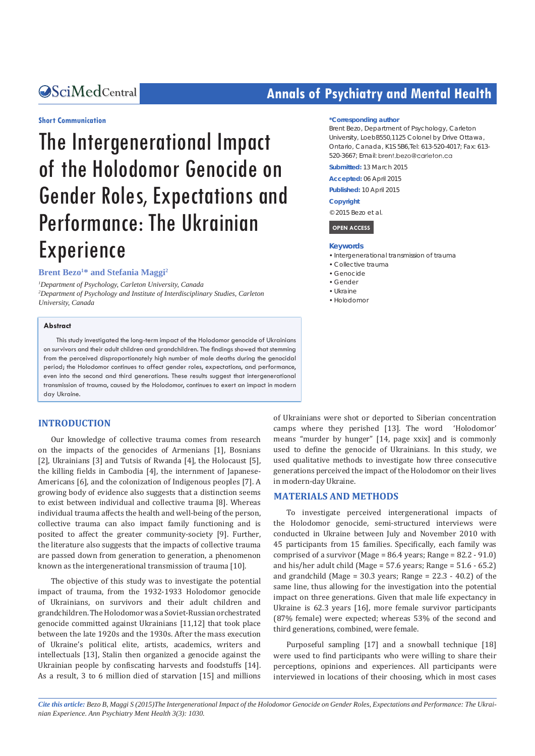#### **Short Communication**

# The Intergenerational Impact of the Holodomor Genocide on Gender Roles, Expectations and Performance: The Ukrainian Experience

#### **Brent Bezo<sup>1\*</sup> and Stefania Maggi<sup>2</sup>**

*1 Department of Psychology, Carleton University, Canada 2 Department of Psychology and Institute of Interdisciplinary Studies, Carleton University, Canada*

#### **Abstract**

This study investigated the long-term impact of the Holodomor genocide of Ukrainians on survivors and their adult children and grandchildren. The findings showed that stemming from the perceived disproportionately high number of male deaths during the genocidal period; the Holodomor continues to affect gender roles, expectations, and performance, even into the second and third generations. These results suggest that intergenerational transmission of trauma, caused by the Holodomor, continues to exert an impact in modern day Ukraine.

#### **INTRODUCTION**

Our knowledge of collective trauma comes from research on the impacts of the genocides of Armenians [1], Bosnians [2], Ukrainians [3] and Tutsis of Rwanda [4], the Holocaust [5], the killing fields in Cambodia [4], the internment of Japanese-Americans [6], and the colonization of Indigenous peoples [7]. A growing body of evidence also suggests that a distinction seems to exist between individual and collective trauma [8]. Whereas individual trauma affects the health and well-being of the person, collective trauma can also impact family functioning and is posited to affect the greater community-society [9]. Further, the literature also suggests that the impacts of collective trauma are passed down from generation to generation, a phenomenon known as the intergenerational transmission of trauma [10].

The objective of this study was to investigate the potential impact of trauma, from the 1932-1933 Holodomor genocide of Ukrainians, on survivors and their adult children and grandchildren. The Holodomor was a Soviet-Russian orchestrated genocide committed against Ukrainians [11,12] that took place between the late 1920s and the 1930s. After the mass execution of Ukraine's political elite, artists, academics, writers and intellectuals [13], Stalin then organized a genocide against the Ukrainian people by confiscating harvests and foodstuffs [14]. As a result, 3 to 6 million died of starvation [15] and millions

## **CALCED Annals of Psychiatry and Mental Health**

#### **\*Corresponding author**

Brent Bezo, Department of Psychology, Carleton University, LoebB550,1125 Colonel by Drive Ottawa, Ontario, Canada, K1S 5B6,Tel: 613-520-4017; Fax: 613- 520-3667; Email:

**Submitted:** 13 March 2015

**Accepted:** 06 April 2015

**Published:** 10 April 2015

#### **Copyright**

© 2015 Bezo et al.

#### **OPEN ACCESS**

#### **Keywords**

- • Intergenerational transmission of trauma
- • Collective trauma
- • Genocide
- • Gender
- • Ukraine
- • Holodomor

of Ukrainians were shot or deported to Siberian concentration camps where they perished [13]. The word 'Holodomor' means "murder by hunger" [14, page xxix] and is commonly used to define the genocide of Ukrainians. In this study, we used qualitative methods to investigate how three consecutive generations perceived the impact of the Holodomor on their lives in modern-day Ukraine.

#### **MATERIALS AND METHODS**

To investigate perceived intergenerational impacts of the Holodomor genocide, semi-structured interviews were conducted in Ukraine between July and November 2010 with 45 participants from 15 families. Specifically, each family was comprised of a survivor (Mage = 86.4 years; Range = 82.2 - 91.0) and his/her adult child (Mage =  $57.6$  years; Range =  $51.6 - 65.2$ ) and grandchild (Mage =  $30.3$  years; Range =  $22.3 - 40.2$ ) of the same line, thus allowing for the investigation into the potential impact on three generations. Given that male life expectancy in Ukraine is 62.3 years [16], more female survivor participants (87% female) were expected; whereas 53% of the second and third generations, combined, were female.

Purposeful sampling [17] and a snowball technique [18] were used to find participants who were willing to share their perceptions, opinions and experiences. All participants were interviewed in locations of their choosing, which in most cases

*Cite this article: Bezo B, Maggi S (2015)The Intergenerational Impact of the Holodomor Genocide on Gender Roles, Expectations and Performance: The Ukrainian Experience. Ann Psychiatry Ment Health 3(3): 1030.*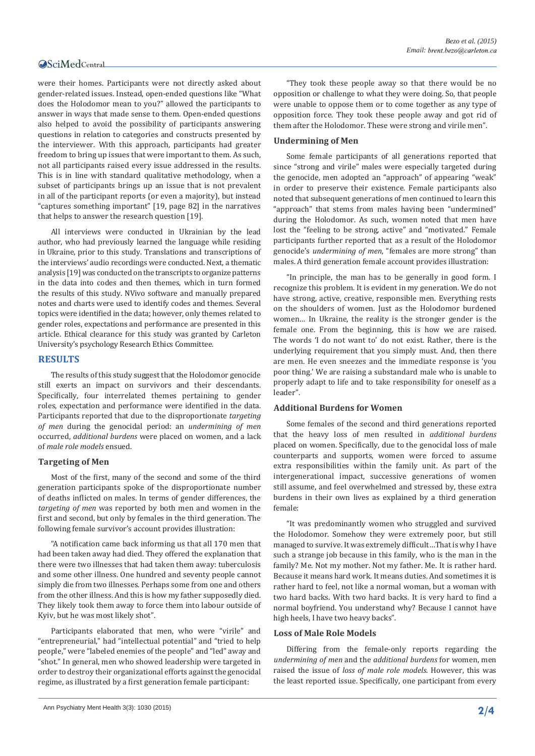#### **OSciMedCentral**

were their homes. Participants were not directly asked about gender-related issues. Instead, open-ended questions like "What does the Holodomor mean to you?" allowed the participants to answer in ways that made sense to them. Open-ended questions also helped to avoid the possibility of participants answering questions in relation to categories and constructs presented by the interviewer. With this approach, participants had greater freedom to bring up issues that were important to them. As such, not all participants raised every issue addressed in the results. This is in line with standard qualitative methodology, when a subset of participants brings up an issue that is not prevalent in all of the participant reports (or even a majority), but instead "captures something important" [19, page 82] in the narratives that helps to answer the research question [19].

All interviews were conducted in Ukrainian by the lead author, who had previously learned the language while residing in Ukraine, prior to this study. Translations and transcriptions of the interviews' audio recordings were conducted. Next, a thematic analysis [19] was conducted on the transcripts to organize patterns in the data into codes and then themes, which in turn formed the results of this study. NVivo software and manually prepared notes and charts were used to identify codes and themes. Several topics were identified in the data; however, only themes related to gender roles, expectations and performance are presented in this article. Ethical clearance for this study was granted by Carleton University's psychology Research Ethics Committee.

#### **RESULTS**

The results of this study suggest that the Holodomor genocide still exerts an impact on survivors and their descendants. Specifically, four interrelated themes pertaining to gender roles, expectation and performance were identified in the data. Participants reported that due to the disproportionate *targeting of men* during the genocidal period: an *undermining of men* occurred, *additional burdens* were placed on women, and a lack of *male role models* ensued.

#### **Targeting of Men**

Most of the first, many of the second and some of the third generation participants spoke of the disproportionate number of deaths inflicted on males. In terms of gender differences, the *targeting of men* was reported by both men and women in the first and second, but only by females in the third generation. The following female survivor's account provides illustration:

"A notification came back informing us that all 170 men that had been taken away had died. They offered the explanation that there were two illnesses that had taken them away: tuberculosis and some other illness. One hundred and seventy people cannot simply die from two illnesses. Perhaps some from one and others from the other illness. And this is how my father supposedly died. They likely took them away to force them into labour outside of Kyiv, but he was most likely shot".

Participants elaborated that men, who were "virile" and "entrepreneurial," had "intellectual potential" and "tried to help people," were "labeled enemies of the people" and "led" away and "shot." In general, men who showed leadership were targeted in order to destroy their organizational efforts against the genocidal regime, as illustrated by a first generation female participant:

"They took these people away so that there would be no opposition or challenge to what they were doing. So, that people were unable to oppose them or to come together as any type of opposition force. They took these people away and got rid of them after the Holodomor. These were strong and virile men".

#### **Undermining of Men**

Some female participants of all generations reported that since "strong and virile" males were especially targeted during the genocide, men adopted an "approach" of appearing "weak" in order to preserve their existence. Female participants also noted that subsequent generations of men continued to learn this "approach" that stems from males having been "undermined" during the Holodomor. As such, women noted that men have lost the "feeling to be strong, active" and "motivated." Female participants further reported that as a result of the Holodomor genocide's *undermining of men*, "females are more strong" than males. A third generation female account provides illustration:

"In principle, the man has to be generally in good form. I recognize this problem. It is evident in my generation. We do not have strong, active, creative, responsible men. Everything rests on the shoulders of women. Just as the Holodomor burdened women… In Ukraine, the reality is the stronger gender is the female one. From the beginning, this is how we are raised. The words 'I do not want to' do not exist. Rather, there is the underlying requirement that you simply must. And, then there are men. He even sneezes and the immediate response is 'you poor thing.' We are raising a substandard male who is unable to properly adapt to life and to take responsibility for oneself as a leader".

#### **Additional Burdens for Women**

Some females of the second and third generations reported that the heavy loss of men resulted in *additional burdens*  placed on women. Specifically, due to the genocidal loss of male counterparts and supports, women were forced to assume extra responsibilities within the family unit. As part of the intergenerational impact, successive generations of women still assume, and feel overwhelmed and stressed by, these extra burdens in their own lives as explained by a third generation female:

"It was predominantly women who struggled and survived the Holodomor. Somehow they were extremely poor, but still managed to survive. It was extremely difficult…That is why I have such a strange job because in this family, who is the man in the family? Me. Not my mother. Not my father. Me. It is rather hard. Because it means hard work. It means duties. And sometimes it is rather hard to feel, not like a normal woman, but a woman with two hard backs. With two hard backs. It is very hard to find a normal boyfriend. You understand why? Because I cannot have high heels, I have two heavy backs".

#### **Loss of Male Role Models**

Differing from the female-only reports regarding the *undermining of men* and the *additional burdens* for women, men raised the issue of *loss of male role models*. However, this was the least reported issue. Specifically, one participant from every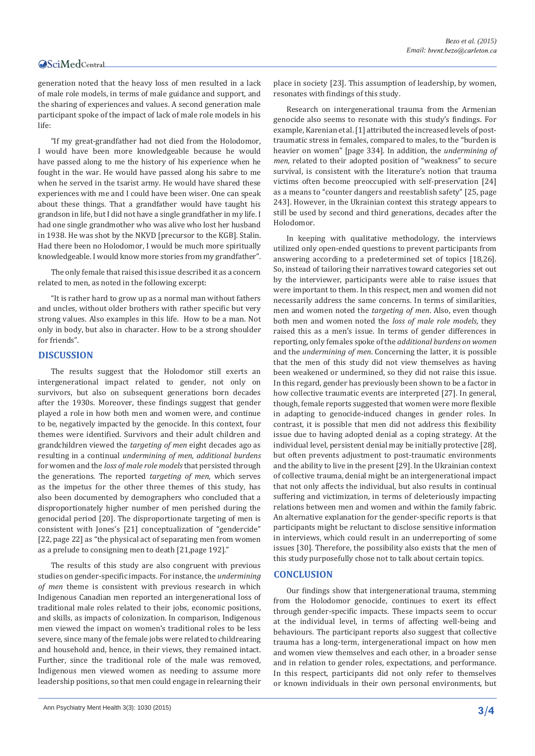#### **OSciMedCentral**

generation noted that the heavy loss of men resulted in a lack of male role models, in terms of male guidance and support, and the sharing of experiences and values. A second generation male participant spoke of the impact of lack of male role models in his life:

"If my great-grandfather had not died from the Holodomor, I would have been more knowledgeable because he would have passed along to me the history of his experience when he fought in the war. He would have passed along his sabre to me when he served in the tsarist army. He would have shared these experiences with me and I could have been wiser. One can speak about these things. That a grandfather would have taught his grandson in life, but I did not have a single grandfather in my life. I had one single grandmother who was alive who lost her husband in 1938. He was shot by the NKVD [precursor to the KGB]. Stalin. Had there been no Holodomor, I would be much more spiritually knowledgeable. I would know more stories from my grandfather".

The only female that raised this issue described it as a concern related to men, as noted in the following excerpt:

"It is rather hard to grow up as a normal man without fathers and uncles, without older brothers with rather specific but very strong values. Also examples in this life. How to be a man. Not only in body, but also in character. How to be a strong shoulder for friends".

#### **DISCUSSION**

The results suggest that the Holodomor still exerts an intergenerational impact related to gender, not only on survivors, but also on subsequent generations born decades after the 1930s. Moreover, these findings suggest that gender played a role in how both men and women were, and continue to be, negatively impacted by the genocide. In this context, four themes were identified. Survivors and their adult children and grandchildren viewed the *targeting of men* eight decades ago as resulting in a continual *undermining of men, additional burdens*  for women and the *loss of male role models* that persisted through the generations. The reported *targeting of men*, which serves as the impetus for the other three themes of this study, has also been documented by demographers who concluded that a disproportionately higher number of men perished during the genocidal period [20]. The disproportionate targeting of men is consistent with Jones's [21] conceptualization of "gendercide" [22, page 22] as "the physical act of separating men from women as a prelude to consigning men to death [21,page 192]."

The results of this study are also congruent with previous studies on gender-specific impacts. For instance, the *undermining of men* theme is consistent with previous research in which Indigenous Canadian men reported an intergenerational loss of traditional male roles related to their jobs, economic positions, and skills, as impacts of colonization. In comparison, Indigenous men viewed the impact on women's traditional roles to be less severe, since many of the female jobs were related to childrearing and household and, hence, in their views, they remained intact. Further, since the traditional role of the male was removed, Indigenous men viewed women as needing to assume more leadership positions, so that men could engage in relearning their

place in society [23]. This assumption of leadership, by women, resonates with findings of this study.

Research on intergenerational trauma from the Armenian genocide also seems to resonate with this study's findings. For example, Karenian et al. [1] attributed the increased levels of posttraumatic stress in females, compared to males, to the "burden is heavier on women" [page 334]. In addition, the *undermining of men*, related to their adopted position of "weakness" to secure survival, is consistent with the literature's notion that trauma victims often become preoccupied with self-preservation [24] as a means to "counter dangers and reestablish safety" [25, page 243]. However, in the Ukrainian context this strategy appears to still be used by second and third generations, decades after the Holodomor.

In keeping with qualitative methodology, the interviews utilized only open-ended questions to prevent participants from answering according to a predetermined set of topics [18,26]. So, instead of tailoring their narratives toward categories set out by the interviewer, participants were able to raise issues that were important to them. In this respect, men and women did not necessarily address the same concerns. In terms of similarities, men and women noted the *targeting of men*. Also, even though both men and women noted the *loss of male role models*, they raised this as a men's issue. In terms of gender differences in reporting, only females spoke of the *additional burdens on women*  and the *undermining of men*. Concerning the latter, it is possible that the men of this study did not view themselves as having been weakened or undermined, so they did not raise this issue. In this regard, gender has previously been shown to be a factor in how collective traumatic events are interpreted [27]. In general, though, female reports suggested that women were more flexible in adapting to genocide-induced changes in gender roles. In contrast, it is possible that men did not address this flexibility issue due to having adopted denial as a coping strategy. At the individual level, persistent denial may be initially protective [28], but often prevents adjustment to post-traumatic environments and the ability to live in the present [29]. In the Ukrainian context of collective trauma, denial might be an intergenerational impact that not only affects the individual, but also results in continual suffering and victimization, in terms of deleteriously impacting relations between men and women and within the family fabric. An alternative explanation for the gender-specific reports is that participants might be reluctant to disclose sensitive information in interviews, which could result in an underreporting of some issues [30]. Therefore, the possibility also exists that the men of this study purposefully chose not to talk about certain topics.

#### **CONCLUSION**

Our findings show that intergenerational trauma, stemming from the Holodomor genocide, continues to exert its effect through gender-specific impacts. These impacts seem to occur at the individual level, in terms of affecting well-being and behaviours. The participant reports also suggest that collective trauma has a long-term, intergenerational impact on how men and women view themselves and each other, in a broader sense and in relation to gender roles, expectations, and performance. In this respect, participants did not only refer to themselves or known individuals in their own personal environments, but